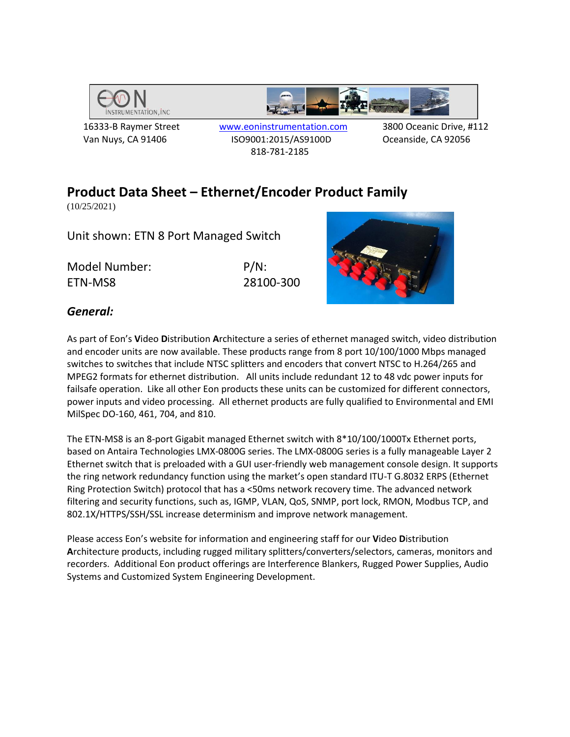

 16333-B Raymer Street www.eoninstrumentation.com 3800 Oceanic Drive, #112 Van Nuys, CA 91406 ISO9001:2015/AS9100D Oceanside, CA 92056 818-781-2185

## **Product Data Sheet – Ethernet/Encoder Product Family**

(10/25/2021)

Unit shown: ETN 8 Port Managed Switch

Model Number: P/N: ETN-MS8 28100-300



### *General:*

As part of Eon's **V**ideo **D**istribution **A**rchitecture a series of ethernet managed switch, video distribution and encoder units are now available. These products range from 8 port 10/100/1000 Mbps managed switches to switches that include NTSC splitters and encoders that convert NTSC to H.264/265 and MPEG2 formats for ethernet distribution. All units include redundant 12 to 48 vdc power inputs for failsafe operation. Like all other Eon products these units can be customized for different connectors, power inputs and video processing. All ethernet products are fully qualified to Environmental and EMI MilSpec DO-160, 461, 704, and 810.

The ETN-MS8 is an 8-port Gigabit managed Ethernet switch with 8\*10/100/1000Tx Ethernet ports, based on Antaira Technologies LMX-0800G series. The LMX-0800G series is a fully manageable Layer 2 Ethernet switch that is preloaded with a GUI user-friendly web management console design. It supports the ring network redundancy function using the market's open standard ITU-T G.8032 ERPS (Ethernet Ring Protection Switch) protocol that has a <50ms network recovery time. The advanced network filtering and security functions, such as, IGMP, VLAN, QoS, SNMP, port lock, RMON, Modbus TCP, and 802.1X/HTTPS/SSH/SSL increase determinism and improve network management.

Please access Eon's website for information and engineering staff for our **V**ideo **D**istribution **A**rchitecture products, including rugged military splitters/converters/selectors, cameras, monitors and recorders. Additional Eon product offerings are Interference Blankers, Rugged Power Supplies, Audio Systems and Customized System Engineering Development.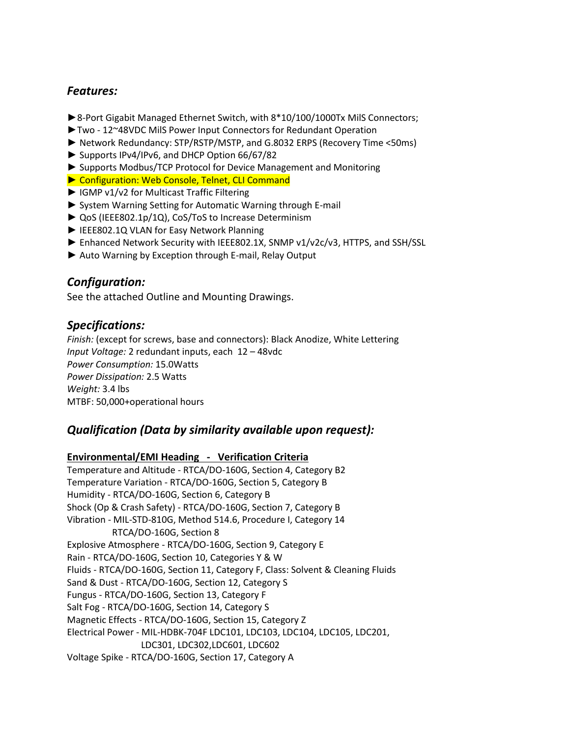#### *Features:*

- ►8-Port Gigabit Managed Ethernet Switch, with 8\*10/100/1000Tx MilS Connectors;
- ►Two 12~48VDC MilS Power Input Connectors for Redundant Operation
- ► Network Redundancy: STP/RSTP/MSTP, and G.8032 ERPS (Recovery Time <50ms)
- ► Supports IPv4/IPv6, and DHCP Option 66/67/82
- ► Supports Modbus/TCP Protocol for Device Management and Monitoring
- ► Configuration: Web Console, Telnet, CLI Command
- ► IGMP v1/v2 for Multicast Traffic Filtering
- ► System Warning Setting for Automatic Warning through E-mail
- ► QoS (IEEE802.1p/1Q), CoS/ToS to Increase Determinism
- ► IEEE802.1Q VLAN for Easy Network Planning
- ► Enhanced Network Security with IEEE802.1X, SNMP v1/v2c/v3, HTTPS, and SSH/SSL
- ► Auto Warning by Exception through E-mail, Relay Output

#### *Configuration:*

See the attached Outline and Mounting Drawings.

#### *Specifications:*

*Finish:* (except for screws, base and connectors): Black Anodize, White Lettering *Input Voltage:* 2 redundant inputs, each 12 – 48vdc *Power Consumption:* 15.0Watts *Power Dissipation:* 2.5 Watts *Weight:* 3.4 lbs MTBF: 50,000+operational hours

#### *Qualification (Data by similarity available upon request):*

#### **Environmental/EMI Heading - Verification Criteria**

Temperature and Altitude - RTCA/DO-160G, Section 4, Category B2 Temperature Variation - RTCA/DO-160G, Section 5, Category B Humidity - RTCA/DO-160G, Section 6, Category B Shock (Op & Crash Safety) - RTCA/DO-160G, Section 7, Category B Vibration - MIL-STD-810G, Method 514.6, Procedure I, Category 14 RTCA/DO-160G, Section 8 Explosive Atmosphere - RTCA/DO-160G, Section 9, Category E Rain - RTCA/DO-160G, Section 10, Categories Y & W Fluids - RTCA/DO-160G, Section 11, Category F, Class: Solvent & Cleaning Fluids Sand & Dust - RTCA/DO-160G, Section 12, Category S Fungus - RTCA/DO-160G, Section 13, Category F Salt Fog - RTCA/DO-160G, Section 14, Category S Magnetic Effects - RTCA/DO-160G, Section 15, Category Z Electrical Power - MIL-HDBK-704F LDC101, LDC103, LDC104, LDC105, LDC201, LDC301, LDC302,LDC601, LDC602 Voltage Spike - RTCA/DO-160G, Section 17, Category A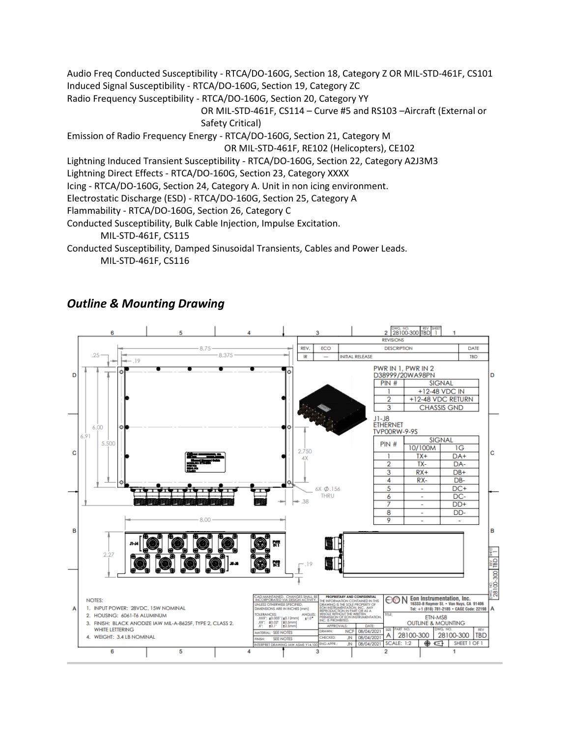Audio Freq Conducted Susceptibility - RTCA/DO-160G, Section 18, Category Z OR MIL-STD-461F, CS101 Induced Signal Susceptibility - RTCA/DO-160G, Section 19, Category ZC Radio Frequency Susceptibility - RTCA/DO-160G, Section 20, Category YY OR MIL-STD-461F, CS114 – Curve #5 and RS103 –Aircraft (External or Safety Critical) Emission of Radio Frequency Energy - RTCA/DO-160G, Section 21, Category M OR MIL-STD-461F, RE102 (Helicopters), CE102 Lightning Induced Transient Susceptibility - RTCA/DO-160G, Section 22, Category A2J3M3 Lightning Direct Effects - RTCA/DO-160G, Section 23, Category XXXX Icing - RTCA/DO-160G, Section 24, Category A. Unit in non icing environment. Electrostatic Discharge (ESD) - RTCA/DO-160G, Section 25, Category A Flammability - RTCA/DO-160G, Section 26, Category C Conducted Susceptibility, Bulk Cable Injection, Impulse Excitation. MIL-STD-461F, CS115 Conducted Susceptibility, Damped Sinusoidal Transients, Cables and Power Leads.

MIL-STD-461F, CS116



#### *Outline & Mounting Drawing*